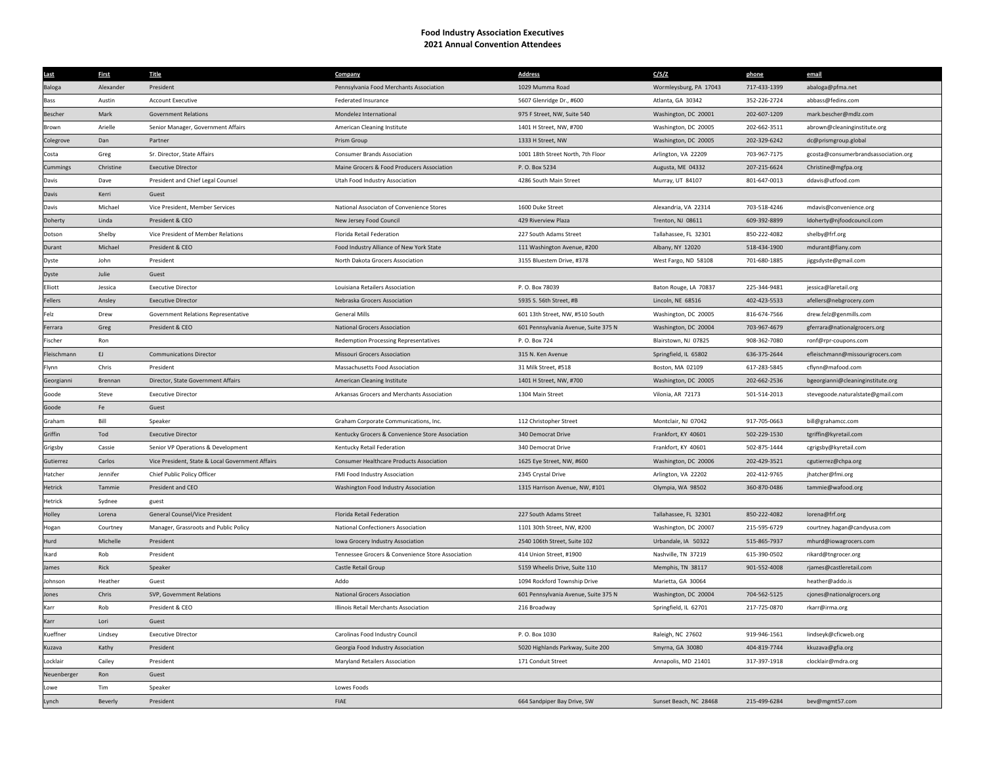## **Food Industry Association Executives 2021 Annual Convention Attendees**

| Last        | <b>First</b> | <b>Title</b>                                     | Company                                           | <b>Address</b>                       | C/S/Z                  | phone        | email                                |
|-------------|--------------|--------------------------------------------------|---------------------------------------------------|--------------------------------------|------------------------|--------------|--------------------------------------|
| Baloga      | Alexander    | President                                        | Pennsylvania Food Merchants Association           | 1029 Mumma Road                      | Wormleysburg, PA 17043 | 717-433-1399 | abaloga@pfma.net                     |
| Bass        | Austin       | <b>Account Executive</b>                         | Federated Insurance                               | 5607 Glenridge Dr., #600             | Atlanta, GA 30342      | 352-226-2724 | abbass@fedins.com                    |
| Bescher     | Mark         | <b>Government Relations</b>                      | Mondelez International                            | 975 F Street, NW, Suite 540          | Washington, DC 20001   | 202-607-1209 | mark.bescher@mdlz.com                |
| Brown       | Arielle      | Senior Manager, Government Affairs               | American Cleaning Institute                       | 1401 H Street, NW, #700              | Washington, DC 20005   | 202-662-3511 | abrown@cleaninginstitute.org         |
| Colegrove   | Dan          | Partner                                          | Prism Group                                       | 1333 H Street, NW                    | Washington, DC 20005   | 202-329-6242 | dc@prismgroup.global                 |
| Costa       | Greg         | Sr. Director, State Affairs                      | Consumer Brands Association                       | 1001 18th Street North, 7th Floor    | Arlington, VA 22209    | 703-967-7175 | gcosta@consumerbrandsassociation.org |
| Cummings    | Christine    | <b>Executive DIrector</b>                        | Maine Grocers & Food Producers Association        | P.O. Box 5234                        | Augusta, ME 04332      | 207-215-6624 | Christine@mgfpa.org                  |
| Davis       | Dave         | President and Chief Legal Counsel                | Utah Food Industry Association                    | 4286 South Main Street               | Murray, UT 84107       | 801-647-0013 | ddavis@utfood.com                    |
| Davis       | Kerri        | Guest                                            |                                                   |                                      |                        |              |                                      |
| Davis       | Michael      | Vice President, Member Services                  | National Associaton of Convenience Stores         | 1600 Duke Street                     | Alexandria, VA 22314   | 703-518-4246 | mdavis@convenience.org               |
| Doherty     | Linda        | President & CEO                                  | New Jersey Food Council                           | 429 Riverview Plaza                  | Trenton, NJ 08611      | 609-392-8899 | ldoherty@njfoodcouncil.com           |
| Dotson      | Shelby       | Vice President of Member Relations               | Florida Retail Federation                         | 227 South Adams Street               | Tallahassee, FL 32301  | 850-222-4082 | shelby@frf.org                       |
| Durant      | Michael      | President & CEO                                  | Food Industry Alliance of New York State          | 111 Washington Avenue, #200          | Albany, NY 12020       | 518-434-1900 | mdurant@fiany.com                    |
| Dyste       | John         | President                                        | North Dakota Grocers Association                  | 3155 Bluestem Drive, #378            | West Fargo, ND 58108   | 701-680-1885 | jiggsdyste@gmail.com                 |
| Dyste       | Julie        | Guest                                            |                                                   |                                      |                        |              |                                      |
| Elliott     | Jessica      | <b>Executive Director</b>                        | Louisiana Retailers Association                   | P.O. Box 78039                       | Baton Rouge, LA 70837  | 225-344-9481 | jessica@laretail.org                 |
| Fellers     | Ansley       | <b>Executive DIrector</b>                        | Nebraska Grocers Association                      | 5935 S. 56th Street, #B              | Lincoln, NE 68516      | 402-423-5533 | afellers@nebgrocery.com              |
| Felz        | Drew         | Government Relations Representative              | <b>General Mills</b>                              | 601 13th Street, NW, #510 South      | Washington, DC 20005   | 816-674-7566 | drew.felz@genmills.com               |
| Ferrara     | Greg         | President & CEO                                  | <b>National Grocers Association</b>               | 601 Pennsylvania Avenue, Suite 375 N | Washington, DC 20004   | 703-967-4679 | gferrara@nationalgrocers.org         |
| Fischer     | Ron          |                                                  | <b>Redemption Processing Representatives</b>      | P.O. Box 724                         | Blairstown, NJ 07825   | 908-362-7080 | ronf@rpr-coupons.com                 |
| Fleischmann | EJ           | <b>Communications Director</b>                   | Missouri Grocers Association                      | 315 N. Ken Avenue                    | Springfield, IL 65802  | 636-375-2644 | efleischmann@missourigrocers.com     |
| Flynn       | Chris        | President                                        | Massachusetts Food Association                    | 31 Milk Street, #518                 | Boston, MA 02109       | 617-283-5845 | cflynn@mafood.com                    |
| Georgianni  | Brennan      | Director, State Government Affairs               | American Cleaning Institute                       | 1401 H Street, NW, #700              | Washington, DC 20005   | 202-662-2536 | bgeorgianni@cleaninginstitute.org    |
| Goode       | Steve        | <b>Executive Director</b>                        | Arkansas Grocers and Merchants Association        | 1304 Main Street                     | Vilonia, AR 72173      | 501-514-2013 | stevegoode.naturalstate@gmail.com    |
| Goode       | Fe           | Guest                                            |                                                   |                                      |                        |              |                                      |
| Graham      | Bill         | Speaker                                          | Graham Corporate Communications, Inc.             | 112 Christopher Street               | Montclair, NJ 07042    | 917-705-0663 | bill@grahamcc.com                    |
| Griffin     | Tod          | <b>Executive Director</b>                        | Kentucky Grocers & Convenience Store Association  | 340 Democrat Drive                   | Frankfort, KY 40601    | 502-229-1530 | tgriffin@kyretail.com                |
| Grigsby     | Cassie       | Senior VP Operations & Development               | Kentucky Retail Federation                        | 340 Democrat Drive                   | Frankfort, KY 40601    | 502-875-1444 | cgrigsby@kyretail.com                |
| Gutierrez   | Carlos       | Vice President, State & Local Government Affairs | <b>Consumer Healthcare Products Association</b>   | 1625 Eye Street, NW, #600            | Washington, DC 20006   | 202-429-3521 | cgutierrez@chpa.org                  |
| Hatcher     | Jennifer     | Chief Public Policy Officer                      | FMI Food Industry Association                     | 2345 Crystal Drive                   | Arlington, VA 22202    | 202-412-9765 | jhatcher@fmi.org                     |
| Hetrick     | Tammie       | President and CEC                                | Washington Food Industry Association              | 1315 Harrison Avenue, NW, #101       | Olympia, WA 98502      | 360-870-0486 | tammie@wafood.org                    |
| Hetrick     | Sydnee       | guest                                            |                                                   |                                      |                        |              |                                      |
| Holley      | Lorena       | General Counsel/Vice President                   | Florida Retail Federation                         | 227 South Adams Street               | Tallahassee, FL 32301  | 850-222-4082 | lorena@frf.org                       |
| Hogan       | Courtney     | Manager, Grassroots and Public Policy            | National Confectioners Association                | 1101 30th Street, NW, #200           | Washington, DC 20007   | 215-595-6729 | courtney.hagan@candyusa.com          |
| Hurd        | Michelle     | President                                        | <b>Iowa Grocery Industry Association</b>          | 2540 106th Street, Suite 102         | Urbandale, IA 50322    | 515-865-7937 | mhurd@iowagrocers.com                |
| Ikard       | Rob          | President                                        | Tennessee Grocers & Convenience Store Association | 414 Union Street, #1900              | Nashville, TN 37219    | 615-390-0502 | rikard@tngrocer.org                  |
| James       | Rick         | Speaker                                          | Castle Retail Group                               | 5159 Wheelis Drive, Suite 110        | Memphis, TN 38117      | 901-552-4008 | rjames@castleretail.com              |
| Johnson     | Heather      | Guest                                            | Addo                                              | 1094 Rockford Township Drive         | Marietta, GA 30064     |              | heather@addo.is                      |
| Jones       | Chris        | SVP, Government Relations                        | <b>National Grocers Association</b>               | 601 Pennsylvania Avenue, Suite 375 N | Washington, DC 20004   | 704-562-5125 | cjones@nationalgrocers.org           |
| Karr        | Rob          | President & CEO                                  | Illinois Retail Merchants Association             | 216 Broadway                         | Springfield, IL 62701  | 217-725-0870 | rkarr@irma.org                       |
| Karr        | Lori         | Guest                                            |                                                   |                                      |                        |              |                                      |
| Kueffner    | Lindsey      | <b>Executive DIrector</b>                        | Carolinas Food Industry Council                   | P. O. Box 1030                       | Raleigh, NC 27602      | 919-946-1561 | lindseyk@cficweb.org                 |
| Kuzava      | Kathy        | President                                        | Georgia Food Industry Association                 | 5020 Highlands Parkway, Suite 200    | Smyrna, GA 30080       | 404-819-7744 | kkuzava@gfia.org                     |
| Locklair    | Cailey       | President                                        | Maryland Retailers Association                    | 171 Conduit Street                   | Annapolis, MD 21401    | 317-397-1918 | clocklair@mdra.org                   |
| Neuenberger | Ron          | Guest                                            |                                                   |                                      |                        |              |                                      |
| Lowe        | Tim          | Speaker                                          | Lowes Foods                                       |                                      |                        |              |                                      |
| Lynch       | Beverly      | President                                        | FIAE                                              | 664 Sandpiper Bay Drive, SW          | Sunset Beach, NC 28468 | 215-499-6284 | bev@mgmt57.com                       |